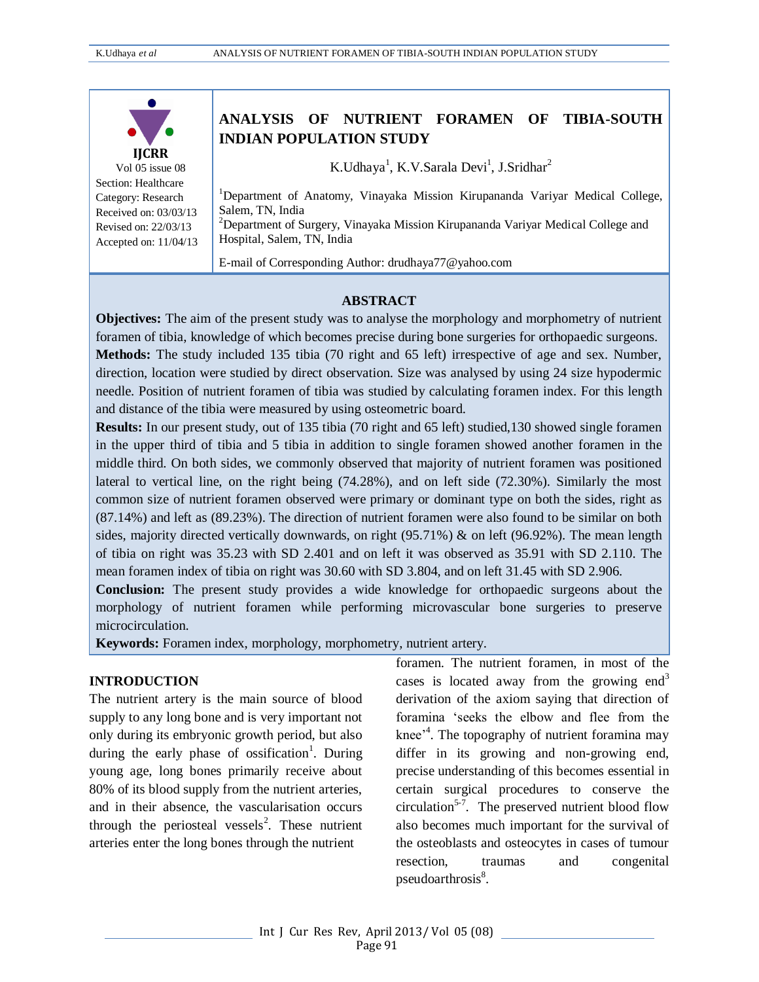

Vol 05 issue 08 Section: Healthcare Category: Research Received on: 03/03/13 Revised on: 22/03/13 Accepted on: 11/04/13

# **ANALYSIS OF NUTRIENT FORAMEN OF TIBIA-SOUTH INDIAN POPULATION STUDY**

K.Udhaya<sup>1</sup>, K.V.Sarala Devi<sup>1</sup>, J.Sridhar<sup>2</sup>

<sup>1</sup>Department of Anatomy, Vinayaka Mission Kirupananda Variyar Medical College, Salem, TN, India

 $2$ Department of Surgery, Vinayaka Mission Kirupananda Variyar Medical College and Hospital, Salem, TN, India

E-mail of Corresponding Author[: drudhaya77@yahoo.com](mailto:drudhaya77@yahoo.com)

#### **ABSTRACT**

**Objectives:** The aim of the present study was to analyse the morphology and morphometry of nutrient foramen of tibia, knowledge of which becomes precise during bone surgeries for orthopaedic surgeons. **Methods:** The study included 135 tibia (70 right and 65 left) irrespective of age and sex. Number, direction, location were studied by direct observation. Size was analysed by using 24 size hypodermic needle. Position of nutrient foramen of tibia was studied by calculating foramen index. For this length and distance of the tibia were measured by using osteometric board.

**Results:** In our present study, out of 135 tibia (70 right and 65 left) studied,130 showed single foramen in the upper third of tibia and 5 tibia in addition to single foramen showed another foramen in the middle third. On both sides, we commonly observed that majority of nutrient foramen was positioned lateral to vertical line, on the right being (74.28%), and on left side (72.30%). Similarly the most common size of nutrient foramen observed were primary or dominant type on both the sides, right as (87.14%) and left as (89.23%). The direction of nutrient foramen were also found to be similar on both sides, majority directed vertically downwards, on right  $(95.71\%)$  & on left  $(96.92\%)$ . The mean length of tibia on right was 35.23 with SD 2.401 and on left it was observed as 35.91 with SD 2.110. The mean foramen index of tibia on right was 30.60 with SD 3.804, and on left 31.45 with SD 2.906.

**Conclusion:** The present study provides a wide knowledge for orthopaedic surgeons about the morphology of nutrient foramen while performing microvascular bone surgeries to preserve microcirculation.

**Keywords:** Foramen index, morphology, morphometry, nutrient artery.

### **INTRODUCTION**

The nutrient artery is the main source of blood supply to any long bone and is very important not only during its embryonic growth period, but also during the early phase of ossification<sup>1</sup>. During young age, long bones primarily receive about 80% of its blood supply from the nutrient arteries, and in their absence, the vascularisation occurs through the periosteal vessels<sup>2</sup>. These nutrient arteries enter the long bones through the nutrient

foramen. The nutrient foramen, in most of the cases is located away from the growing end<sup>3</sup> derivation of the axiom saying that direction of foramina 'seeks the elbow and flee from the knee<sup>,4</sup>. The topography of nutrient foramina may differ in its growing and non-growing end, precise understanding of this becomes essential in certain surgical procedures to conserve the circulation<sup>5-7</sup>. The preserved nutrient blood flow also becomes much important for the survival of the osteoblasts and osteocytes in cases of tumour resection, traumas and congenital pseudoarthrosis<sup>8</sup>.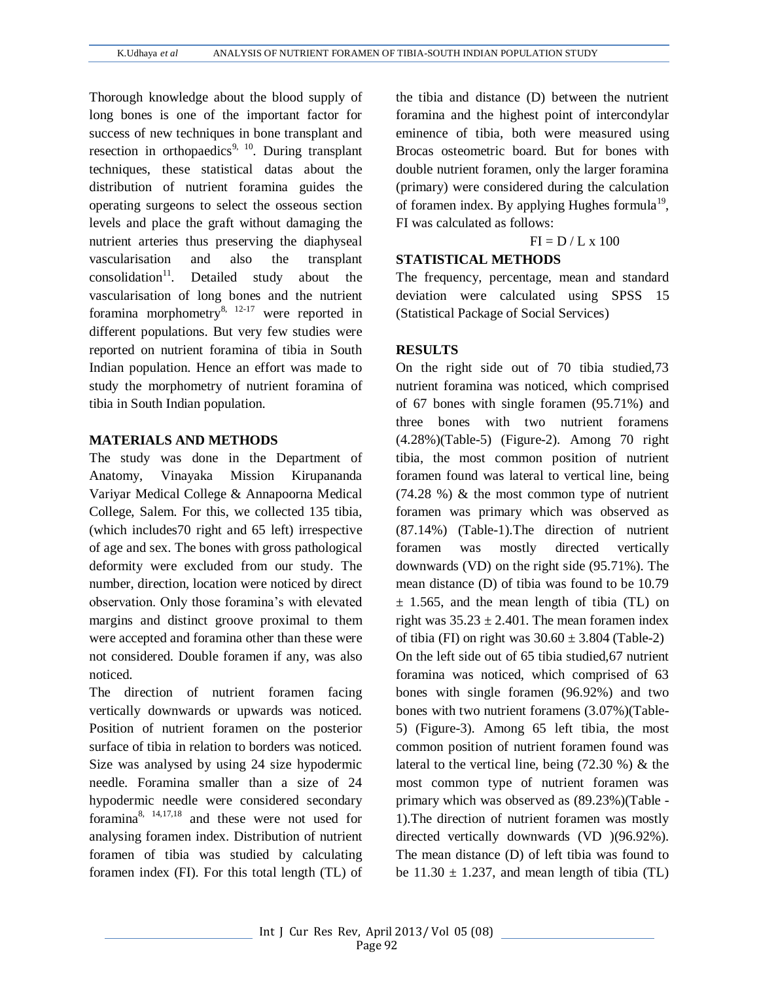Thorough knowledge about the blood supply of long bones is one of the important factor for success of new techniques in bone transplant and resection in orthopaedics<sup>9, 10</sup>. During transplant techniques, these statistical datas about the distribution of nutrient foramina guides the operating surgeons to select the osseous section levels and place the graft without damaging the nutrient arteries thus preserving the diaphyseal vascularisation and also the transplant  $consolidation<sup>11</sup>$ . Detailed study about the vascularisation of long bones and the nutrient foramina morphometry $^{8, 12-17}$  were reported in different populations. But very few studies were reported on nutrient foramina of tibia in South Indian population. Hence an effort was made to study the morphometry of nutrient foramina of tibia in South Indian population.

## **MATERIALS AND METHODS**

The study was done in the Department of Anatomy, Vinayaka Mission Kirupananda Variyar Medical College & Annapoorna Medical College, Salem. For this, we collected 135 tibia, (which includes70 right and 65 left) irrespective of age and sex. The bones with gross pathological deformity were excluded from our study. The number, direction, location were noticed by direct observation. Only those foramina's with elevated margins and distinct groove proximal to them were accepted and foramina other than these were not considered. Double foramen if any, was also noticed.

The direction of nutrient foramen facing vertically downwards or upwards was noticed. Position of nutrient foramen on the posterior surface of tibia in relation to borders was noticed. Size was analysed by using 24 size hypodermic needle. Foramina smaller than a size of 24 hypodermic needle were considered secondary foramina8, 14,17,18 and these were not used for analysing foramen index. Distribution of nutrient foramen of tibia was studied by calculating foramen index (FI). For this total length (TL) of the tibia and distance (D) between the nutrient foramina and the highest point of intercondylar eminence of tibia, both were measured using Brocas osteometric board. But for bones with double nutrient foramen, only the larger foramina (primary) were considered during the calculation of foramen index. By applying Hughes formula<sup>19</sup>, FI was calculated as follows:

 $FI = D / L \times 100$ 

## **STATISTICAL METHODS**

The frequency, percentage, mean and standard deviation were calculated using SPSS 15 (Statistical Package of Social Services)

## **RESULTS**

On the right side out of 70 tibia studied,73 nutrient foramina was noticed, which comprised of 67 bones with single foramen (95.71%) and three bones with two nutrient foramens (4.28%)(Table-5) (Figure-2). Among 70 right tibia, the most common position of nutrient foramen found was lateral to vertical line, being (74.28 %) & the most common type of nutrient foramen was primary which was observed as (87.14%) (Table-1).The direction of nutrient foramen was mostly directed vertically downwards (VD) on the right side (95.71%). The mean distance (D) of tibia was found to be 10.79  $\pm$  1.565, and the mean length of tibia (TL) on right was  $35.23 \pm 2.401$ . The mean foramen index of tibia (FI) on right was  $30.60 \pm 3.804$  (Table-2) On the left side out of 65 tibia studied,67 nutrient foramina was noticed, which comprised of 63 bones with single foramen (96.92%) and two bones with two nutrient foramens (3.07%)(Table-5) (Figure-3). Among 65 left tibia, the most common position of nutrient foramen found was lateral to the vertical line, being (72.30 %) & the most common type of nutrient foramen was primary which was observed as (89.23%)(Table - 1).The direction of nutrient foramen was mostly directed vertically downwards (VD )(96.92%). The mean distance (D) of left tibia was found to be  $11.30 \pm 1.237$ , and mean length of tibia (TL)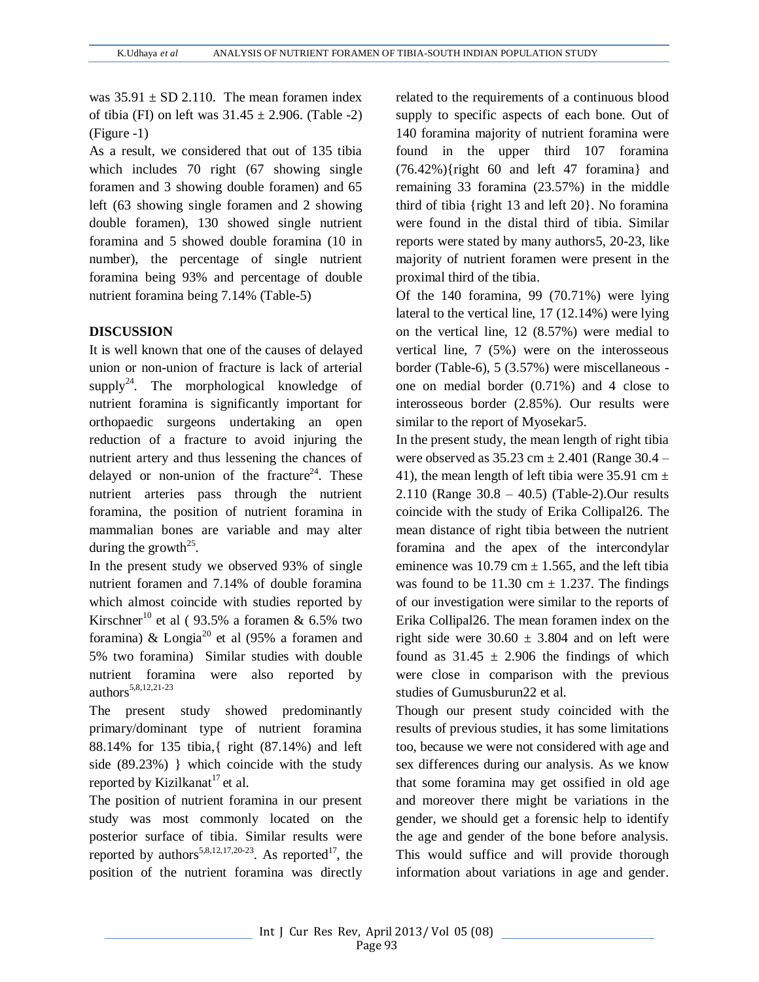was  $35.91 \pm SD$  2.110. The mean foramen index of tibia (FI) on left was  $31.45 \pm 2.906$ . (Table -2) (Figure -1)

As a result, we considered that out of 135 tibia which includes 70 right (67 showing single foramen and 3 showing double foramen) and 65 left (63 showing single foramen and 2 showing double foramen), 130 showed single nutrient foramina and 5 showed double foramina (10 in number), the percentage of single nutrient foramina being 93% and percentage of double nutrient foramina being 7.14% (Table-5)

## **DISCUSSION**

It is well known that one of the causes of delayed union or non-union of fracture is lack of arterial supply<sup>24</sup>. The morphological knowledge of nutrient foramina is significantly important for orthopaedic surgeons undertaking an open reduction of a fracture to avoid injuring the nutrient artery and thus lessening the chances of delayed or non-union of the fracture<sup>24</sup>. These nutrient arteries pass through the nutrient foramina, the position of nutrient foramina in mammalian bones are variable and may alter during the growth<sup>25</sup>.

In the present study we observed 93% of single nutrient foramen and 7.14% of double foramina which almost coincide with studies reported by Kirschner<sup>10</sup> et al ( 93.5% a foramen & 6.5% two foramina) & Longia<sup>20</sup> et al (95% a foramen and 5% two foramina) Similar studies with double nutrient foramina were also reported by authors<sup>5,8,12,21-23</sup>

The present study showed predominantly primary/dominant type of nutrient foramina 88.14% for 135 tibia,{ right (87.14%) and left side (89.23%) } which coincide with the study reported by Kizilkanat<sup>17</sup> et al.

The position of nutrient foramina in our present study was most commonly located on the posterior surface of tibia. Similar results were reported by authors<sup>5,8,12,17,20-23</sup>. As reported<sup>17</sup>, the position of the nutrient foramina was directly related to the requirements of a continuous blood supply to specific aspects of each bone. Out of 140 foramina majority of nutrient foramina were found in the upper third 107 foramina (76.42%){right 60 and left 47 foramina} and remaining 33 foramina (23.57%) in the middle third of tibia {right 13 and left 20}. No foramina were found in the distal third of tibia. Similar reports were stated by many authors5, 20-23, like majority of nutrient foramen were present in the proximal third of the tibia.

Of the 140 foramina, 99 (70.71%) were lying lateral to the vertical line, 17 (12.14%) were lying on the vertical line, 12 (8.57%) were medial to vertical line, 7 (5%) were on the interosseous border (Table-6), 5 (3.57%) were miscellaneous one on medial border (0.71%) and 4 close to interosseous border (2.85%). Our results were similar to the report of Myosekar5.

In the present study, the mean length of right tibia were observed as  $35.23$  cm  $\pm$  2.401 (Range 30.4 – 41), the mean length of left tibia were 35.91 cm  $\pm$ 2.110 (Range 30.8 – 40.5) (Table-2).Our results coincide with the study of Erika Collipal26. The mean distance of right tibia between the nutrient foramina and the apex of the intercondylar eminence was 10.79 cm  $\pm$  1.565, and the left tibia was found to be  $11.30 \text{ cm} \pm 1.237$ . The findings of our investigation were similar to the reports of Erika Collipal26. The mean foramen index on the right side were  $30.60 \pm 3.804$  and on left were found as  $31.45 \pm 2.906$  the findings of which were close in comparison with the previous studies of Gumusburun22 et al.

Though our present study coincided with the results of previous studies, it has some limitations too, because we were not considered with age and sex differences during our analysis. As we know that some foramina may get ossified in old age and moreover there might be variations in the gender, we should get a forensic help to identify the age and gender of the bone before analysis. This would suffice and will provide thorough information about variations in age and gender.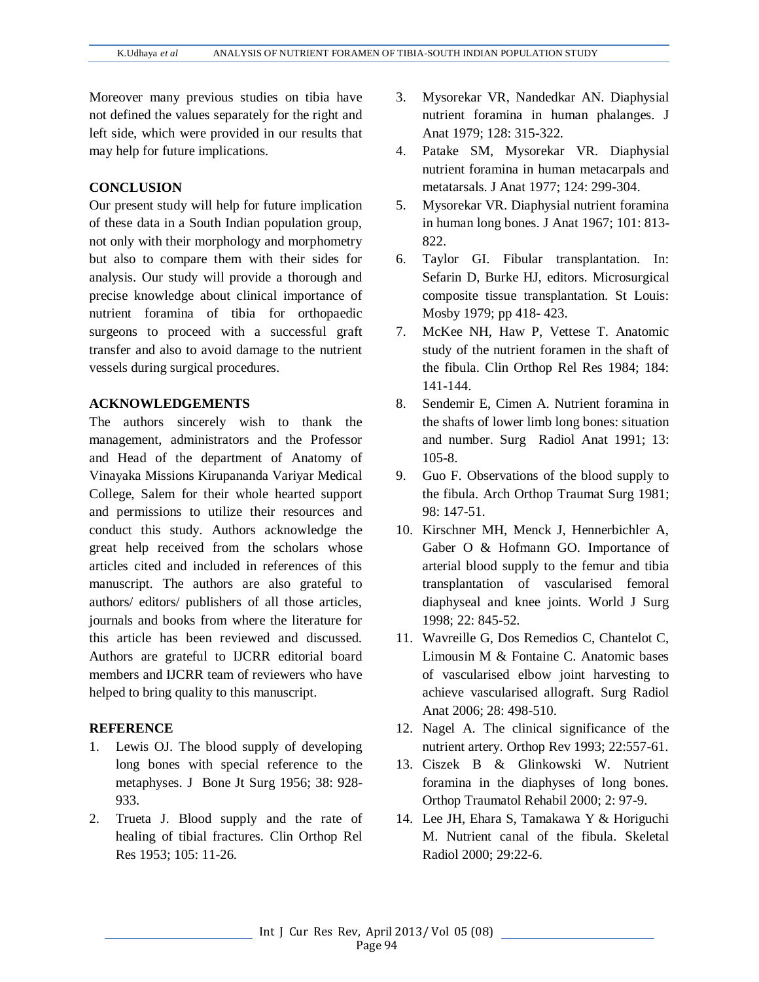Moreover many previous studies on tibia have not defined the values separately for the right and left side, which were provided in our results that may help for future implications.

#### **CONCLUSION**

Our present study will help for future implication of these data in a South Indian population group, not only with their morphology and morphometry but also to compare them with their sides for analysis. Our study will provide a thorough and precise knowledge about clinical importance of nutrient foramina of tibia for orthopaedic surgeons to proceed with a successful graft transfer and also to avoid damage to the nutrient vessels during surgical procedures.

### **ACKNOWLEDGEMENTS**

The authors sincerely wish to thank the management, administrators and the Professor and Head of the department of Anatomy of Vinayaka Missions Kirupananda Variyar Medical College, Salem for their whole hearted support and permissions to utilize their resources and conduct this study. Authors acknowledge the great help received from the scholars whose articles cited and included in references of this manuscript. The authors are also grateful to authors/ editors/ publishers of all those articles, journals and books from where the literature for this article has been reviewed and discussed. Authors are grateful to IJCRR editorial board members and IJCRR team of reviewers who have helped to bring quality to this manuscript.

#### **REFERENCE**

- 1. Lewis OJ. The blood supply of developing long bones with special reference to the metaphyses. J Bone Jt Surg 1956; 38: 928- 933.
- 2. Trueta J. Blood supply and the rate of healing of tibial fractures. Clin Orthop Rel Res 1953; 105: 11-26.
- 3. Mysorekar VR, Nandedkar AN. Diaphysial nutrient foramina in human phalanges. J Anat 1979; 128: 315-322.
- 4. Patake SM, Mysorekar VR. Diaphysial nutrient foramina in human metacarpals and metatarsals. J Anat 1977; 124: 299-304.
- 5. Mysorekar VR. Diaphysial nutrient foramina in human long bones. J Anat 1967; 101: 813- 822.
- 6. Taylor GI. Fibular transplantation. In: Sefarin D, Burke HJ, editors. Microsurgical composite tissue transplantation. St Louis: Mosby 1979; pp 418- 423.
- 7. McKee NH, Haw P, Vettese T. Anatomic study of the nutrient foramen in the shaft of the fibula. Clin Orthop Rel Res 1984; 184: 141-144.
- 8. Sendemir E, Cimen A. Nutrient foramina in the shafts of lower limb long bones: situation and number. Surg Radiol Anat 1991; 13: 105-8.
- 9. Guo F. Observations of the blood supply to the fibula. Arch Orthop Traumat Surg 1981; 98: 147-51.
- 10. Kirschner MH, Menck J, Hennerbichler A, Gaber O & Hofmann GO. Importance of arterial blood supply to the femur and tibia transplantation of vascularised femoral diaphyseal and knee joints. World J Surg 1998; 22: 845-52.
- 11. Wavreille G, Dos Remedios C, Chantelot C, Limousin M & Fontaine C. Anatomic bases of vascularised elbow joint harvesting to achieve vascularised allograft. Surg Radiol Anat 2006; 28: 498-510.
- 12. Nagel A. The clinical significance of the nutrient artery. Orthop Rev 1993; 22:557-61.
- 13. Ciszek B & Glinkowski W. Nutrient foramina in the diaphyses of long bones. Orthop Traumatol Rehabil 2000; 2: 97-9.
- 14. Lee JH, Ehara S, Tamakawa Y & Horiguchi M. Nutrient canal of the fibula. Skeletal Radiol 2000; 29:22-6.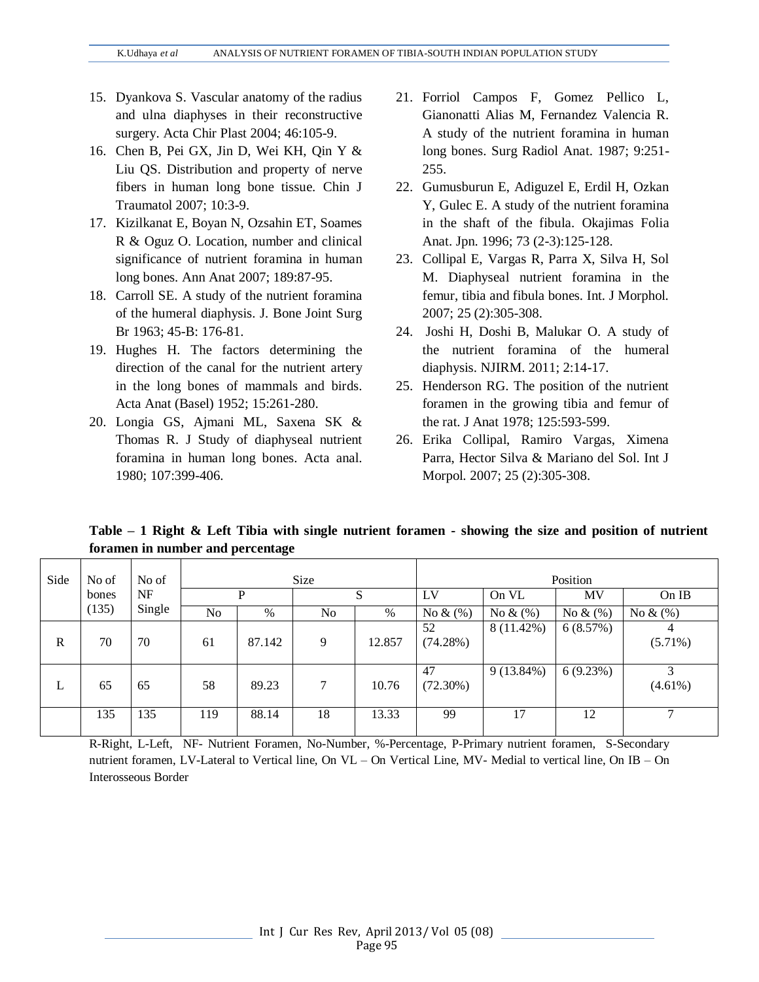- 15. Dyankova S. Vascular anatomy of the radius and ulna diaphyses in their reconstructive surgery. Acta Chir Plast 2004; 46:105-9.
- 16. Chen B, Pei GX, Jin D, Wei KH, Qin Y & Liu QS. Distribution and property of nerve fibers in human long bone tissue. Chin J Traumatol 2007; 10:3-9.
- 17. Kizilkanat E, Boyan N, Ozsahin ET, Soames R & Oguz O. Location, number and clinical significance of nutrient foramina in human long bones. Ann Anat 2007; 189:87-95.
- 18. Carroll SE. A study of the nutrient foramina of the humeral diaphysis. J. Bone Joint Surg Br 1963; 45-B: 176-81.
- 19. Hughes H. The factors determining the direction of the canal for the nutrient artery in the long bones of mammals and birds. Acta Anat (Basel) 1952; 15:261-280.
- 20. Longia GS, Ajmani ML, Saxena SK & Thomas R. J Study of diaphyseal nutrient foramina in human long bones. Acta anal. 1980; 107:399-406.
- 21. Forriol Campos F, Gomez Pellico L, Gianonatti Alias M, Fernandez Valencia R. A study of the nutrient foramina in human long bones. Surg Radiol Anat. 1987; 9:251- 255.
- 22. Gumusburun E, Adiguzel E, Erdil H, Ozkan Y, Gulec E. A study of the nutrient foramina in the shaft of the fibula. Okajimas Folia Anat. Jpn. 1996; 73 (2-3):125-128.
- 23. Collipal E, Vargas R, Parra X, Silva H, Sol M. Diaphyseal nutrient foramina in the femur, tibia and fibula bones. Int. J Morphol. 2007; 25 (2):305-308.
- 24. Joshi H, Doshi B, Malukar O. A study of the nutrient foramina of the humeral diaphysis. NJIRM. 2011; 2:14-17.
- 25. Henderson RG. The position of the nutrient foramen in the growing tibia and femur of the rat. J Anat 1978; 125:593-599.
- 26. Erika Collipal, Ramiro Vargas, Ximena Parra, Hector Silva & Mariano del Sol. Int J Morpol. 2007; 25 (2):305-308.

**Table – 1 Right & Left Tibia with single nutrient foramen - showing the size and position of nutrient foramen in number and percentage** 

| Side         | No of | No of  |                |        | Size |        | Position          |              |             |                 |  |
|--------------|-------|--------|----------------|--------|------|--------|-------------------|--------------|-------------|-----------------|--|
|              | bones | NF     |                | P      |      | S      |                   | On VL        | MV          | $On$ IB         |  |
|              | (135) | Single | N <sub>0</sub> | %      | No   | $\%$   | No $\&$ (%)       | No $\&$ (%)  | No $\&$ (%) | No $\&$ (%)     |  |
| $\mathbb{R}$ | 70    | 70     | 61             | 87.142 | 9    | 12.857 | 52<br>(74.28%)    | 8 (11.42%)   | 6(8.57%)    | $(5.71\%)$      |  |
| L            | 65    | 65     | 58             | 89.23  | 7    | 10.76  | 47<br>$(72.30\%)$ | $9(13.84\%)$ | 6(9.23%)    | 3<br>$(4.61\%)$ |  |
|              | 135   | 135    | 119            | 88.14  | 18   | 13.33  | 99                | 17           | 12          | $\mathcal{L}$   |  |

R-Right, L-Left, NF- Nutrient Foramen, No-Number, %-Percentage, P-Primary nutrient foramen, S-Secondary nutrient foramen, LV-Lateral to Vertical line, On VL – On Vertical Line, MV- Medial to vertical line, On IB – On Interosseous Border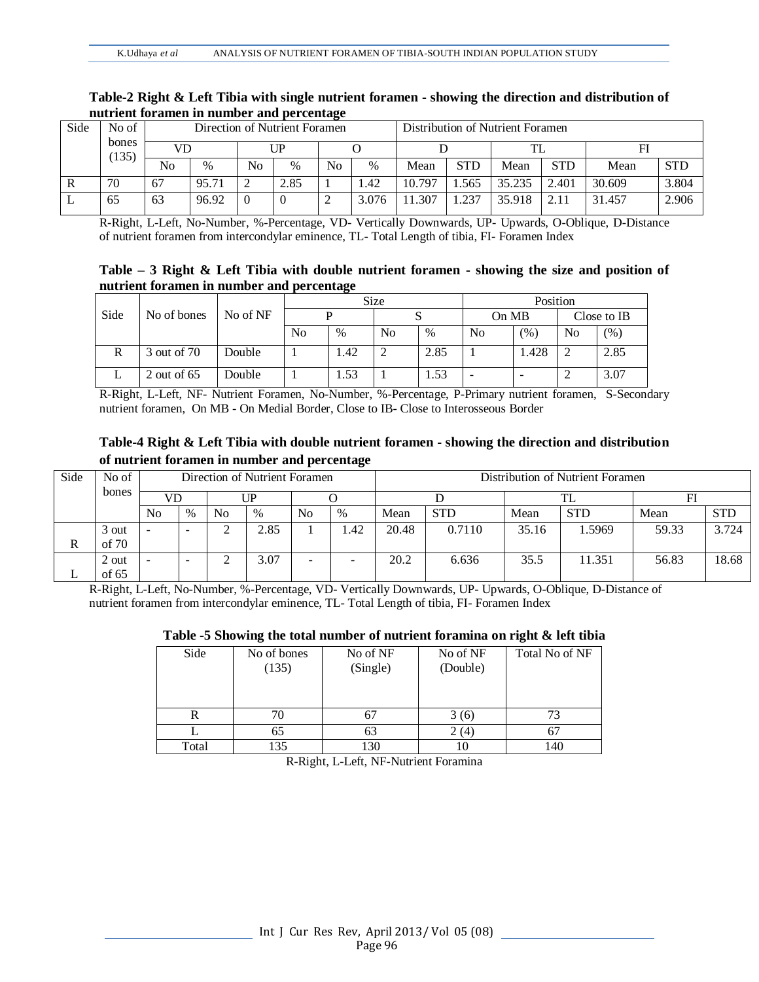|                | nuuruu rorumen m number unu percentuge |                               |       |    |               |                |       |        |                                  |        |            |        |            |  |
|----------------|----------------------------------------|-------------------------------|-------|----|---------------|----------------|-------|--------|----------------------------------|--------|------------|--------|------------|--|
| Side           | No of                                  | Direction of Nutrient Foramen |       |    |               |                |       |        | Distribution of Nutrient Foramen |        |            |        |            |  |
| bones<br>(135) |                                        | VD                            |       | ∏P |               |                |       |        |                                  |        |            |        |            |  |
|                |                                        | No                            | $\%$  | No | $\frac{0}{0}$ | N <sub>0</sub> | $\%$  | Mean   | <b>STD</b>                       | Mean   | <b>STD</b> | Mean   | <b>STD</b> |  |
|                | 70                                     | 67                            | 95.71 |    | 2.85          |                | 1.42  | 10.797 | .565                             | 35.235 | 2.401      | 30.609 | 3.804      |  |
|                | 65                                     | 63                            | 96.92 |    |               |                | 3.076 | 11.307 | 1.237                            | 35.918 | 2.11       | 31.457 | 2.906      |  |

#### **Table-2 Right & Left Tibia with single nutrient foramen - showing the direction and distribution of nutrient foramen in number and percentage**

R-Right, L-Left, No-Number, %-Percentage, VD- Vertically Downwards, UP- Upwards, O-Oblique, D-Distance of nutrient foramen from intercondylar eminence, TL- Total Length of tibia, FI- Foramen Index

### **Table – 3 Right & Left Tibia with double nutrient foramen - showing the size and position of nutrient foramen in number and percentage**

|      |               |          |    |      | Size           |      | Position |       |             |         |  |
|------|---------------|----------|----|------|----------------|------|----------|-------|-------------|---------|--|
| Side | No of bones   | No of NF |    |      |                |      | On MB    |       | Close to IB |         |  |
|      |               |          | No | $\%$ | N <sub>0</sub> | $\%$ | No       | (% )  | No          | $(\% )$ |  |
|      | 3 out of 70   | Double   |    | .42  |                | 2.85 |          | 1.428 |             | 2.85    |  |
|      | 2 out of $65$ | Double   |    | .53  |                | 1.53 |          |       |             | 3.07    |  |

R-Right, L-Left, NF- Nutrient Foramen, No-Number, %-Percentage, P-Primary nutrient foramen, S-Secondary nutrient foramen, On MB - On Medial Border, Close to IB- Close to Interosseous Border

## **Table-4 Right & Left Tibia with double nutrient foramen - showing the direction and distribution of nutrient foramen in number and percentage**

| Side | No of   | Direction of Nutrient Foramen |      |                |      |    |      | Distribution of Nutrient Foramen |            |       |            |       |            |  |
|------|---------|-------------------------------|------|----------------|------|----|------|----------------------------------|------------|-------|------------|-------|------------|--|
|      | bones   | VD                            |      | UP             |      |    |      |                                  |            |       |            |       |            |  |
|      |         | No                            | $\%$ | N <sub>0</sub> | $\%$ | No | $\%$ | Mean                             | <b>STD</b> | Mean  | <b>STD</b> | Mean  | <b>STD</b> |  |
|      | 3 out   |                               | -    | ∼              | 2.85 |    | .42  | 20.48                            | 0.7110     | 35.16 | 1.5969     | 59.33 | 3.724      |  |
| R    | of $70$ |                               |      |                |      |    |      |                                  |            |       |            |       |            |  |
|      | 2 out   |                               | -    | ∠              | 3.07 |    |      | 20.2                             | 6.636      | 35.5  | 11.351     | 56.83 | 18.68      |  |
|      | of $65$ |                               |      |                |      |    |      |                                  |            |       |            |       |            |  |

R-Right, L-Left, No-Number, %-Percentage, VD- Vertically Downwards, UP- Upwards, O-Oblique, D-Distance of nutrient foramen from intercondylar eminence, TL- Total Length of tibia, FI- Foramen Index

### **Table -5 Showing the total number of nutrient foramina on right & left tibia**

| Side  | No of bones<br>(135) | No of NF<br>(Single) | No of NF<br>(Double) | Total No of NF |
|-------|----------------------|----------------------|----------------------|----------------|
| R     | 70                   |                      | 3 (6)                |                |
|       | 65                   | 63                   | 2(4)                 | O              |
| Total | 135                  | 130                  | IO                   | 140            |

R-Right, L-Left, NF-Nutrient Foramina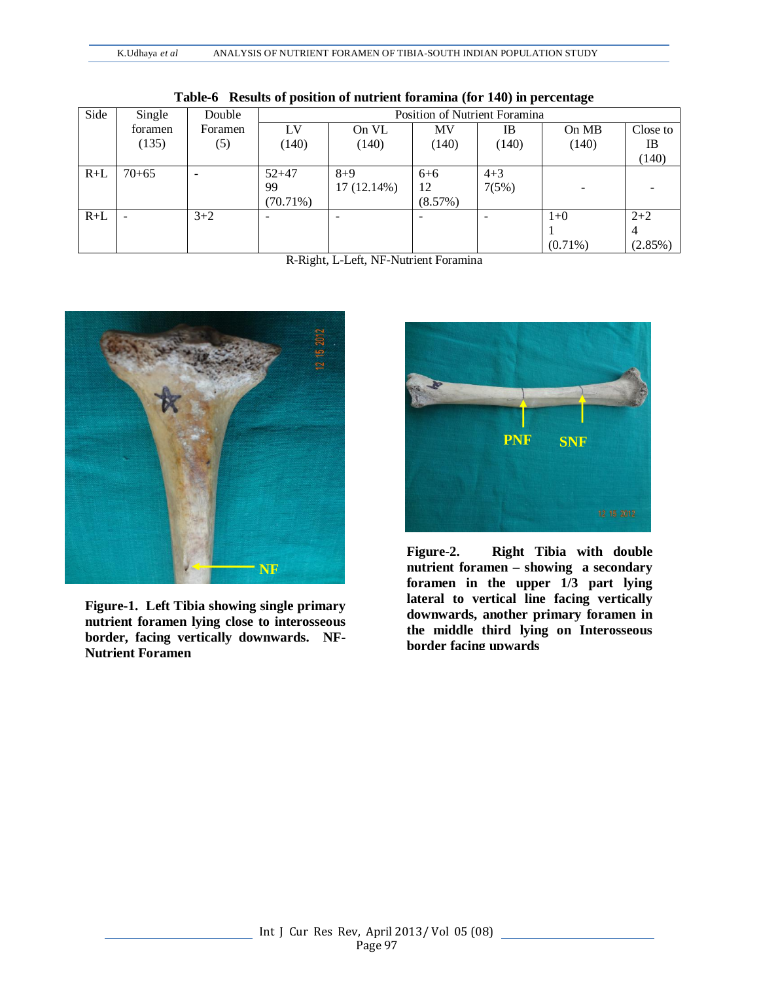| Side  | Single                   | Double  |             | Position of Nutrient Foramina |                          |                          |                          |                |  |  |  |
|-------|--------------------------|---------|-------------|-------------------------------|--------------------------|--------------------------|--------------------------|----------------|--|--|--|
|       | foramen                  | Foramen | LV          | On VL                         | MV                       | IB                       | On MB                    | Close to       |  |  |  |
|       | (135)                    | (5)     | (140)       | (140)                         | (140)                    | (140)                    | (140)                    | IB             |  |  |  |
|       |                          |         |             |                               |                          |                          |                          | (140)          |  |  |  |
| $R+L$ | $70 + 65$                |         | $52 + 47$   | $8 + 9$                       | $6 + 6$                  | $4 + 3$                  |                          |                |  |  |  |
|       |                          |         | 99          | $17(12.14\%)$                 | 12                       | 7(5%)                    | $\overline{\phantom{a}}$ |                |  |  |  |
|       |                          |         | $(70.71\%)$ |                               | (8.57%)                  |                          |                          |                |  |  |  |
| $R+L$ | $\overline{\phantom{a}}$ | $3+2$   | ۰           |                               | $\overline{\phantom{a}}$ | $\overline{\phantom{a}}$ | $1+0$                    | $2+2$          |  |  |  |
|       |                          |         |             |                               |                          |                          |                          | $\overline{4}$ |  |  |  |
|       |                          |         |             |                               |                          |                          | $(0.71\%)$               | $(2.85\%)$     |  |  |  |

**Table-6 Results of position of nutrient foramina (for 140) in percentage**

R-Right, L-Left, NF-Nutrient Foramina



**Figure-1. Left Tibia showing single primary nutrient foramen lying close to interosseous border, facing vertically downwards. NF-Nutrient Foramen**



**Figure-2. Right Tibia with double nutrient foramen – showing a secondary foramen in the upper 1/3 part lying lateral to vertical line facing vertically downwards, another primary foramen in the middle third lying on Interosseous border facing upwards**